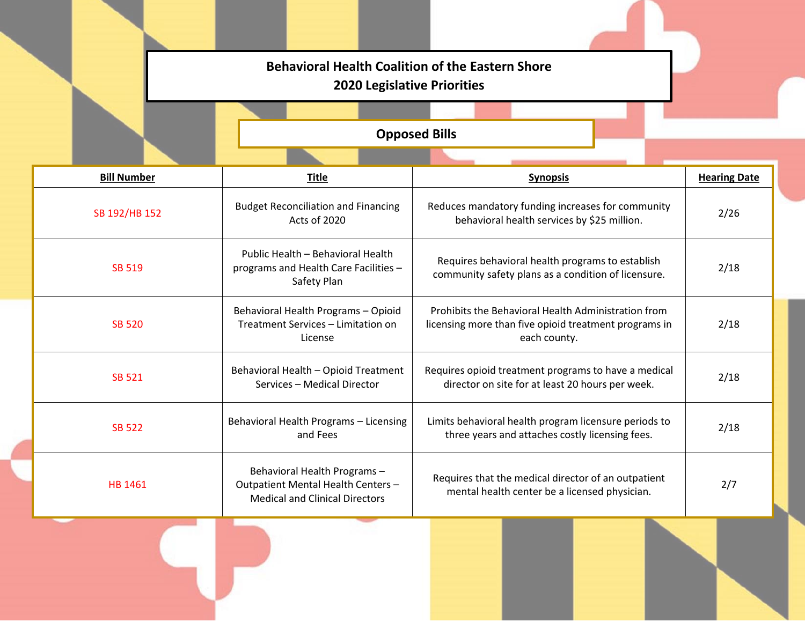## **Behavioral Health Coalition of the Eastern Shore 2020 Legislative Priorities**

**Opposed Bills**

| <b>Bill Number</b> | <b>Title</b>                                                                                                | <b>Synopsis</b>                                                                                                              | <b>Hearing Date</b> |
|--------------------|-------------------------------------------------------------------------------------------------------------|------------------------------------------------------------------------------------------------------------------------------|---------------------|
| SB 192/HB 152      | <b>Budget Reconciliation and Financing</b><br>Acts of 2020                                                  | Reduces mandatory funding increases for community<br>behavioral health services by \$25 million.                             | 2/26                |
| <b>SB 519</b>      | Public Health - Behavioral Health<br>programs and Health Care Facilities -<br>Safety Plan                   | Requires behavioral health programs to establish<br>community safety plans as a condition of licensure.                      | 2/18                |
| <b>SB 520</b>      | Behavioral Health Programs - Opioid<br>Treatment Services - Limitation on<br>License                        | Prohibits the Behavioral Health Administration from<br>licensing more than five opioid treatment programs in<br>each county. | 2/18                |
| <b>SB 521</b>      | Behavioral Health - Opioid Treatment<br>Services - Medical Director                                         | Requires opioid treatment programs to have a medical<br>director on site for at least 20 hours per week.                     | 2/18                |
| <b>SB 522</b>      | Behavioral Health Programs - Licensing<br>and Fees                                                          | Limits behavioral health program licensure periods to<br>three years and attaches costly licensing fees.                     | 2/18                |
| HB 1461            | Behavioral Health Programs -<br>Outpatient Mental Health Centers -<br><b>Medical and Clinical Directors</b> | Requires that the medical director of an outpatient<br>mental health center be a licensed physician.                         | 2/7                 |
|                    |                                                                                                             |                                                                                                                              |                     |